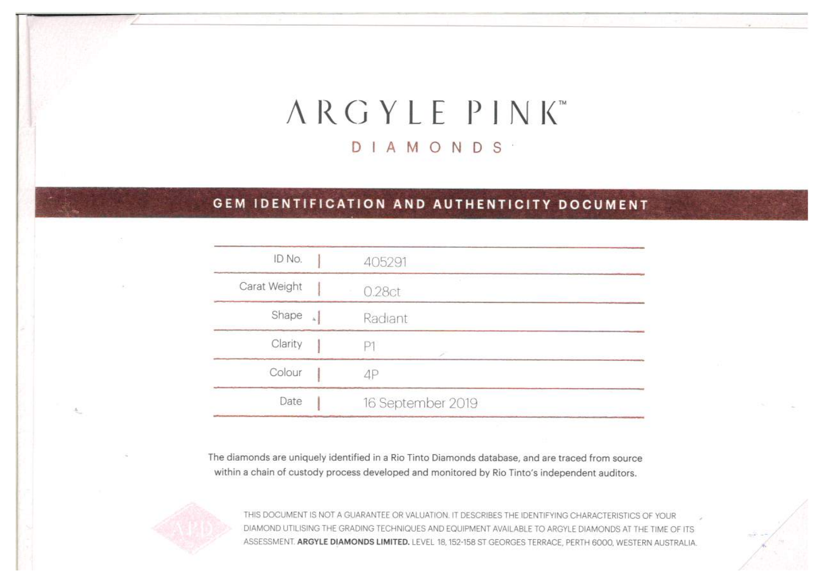# ARGYLE PINK DIAMONDS

# GEM IDENTIFICATION AND AUTHENTICITY DOCUMENT

| ID No.       |           | 405291            |
|--------------|-----------|-------------------|
| Carat Weight |           | 0.28ct            |
| Shape        | $\bar{k}$ | Radiant           |
| Clarity      |           |                   |
| Colour       |           | 4Р                |
| Date         |           | 16 September 2019 |

The diamonds are uniquely identified in a Rio Tinto Diamonds database, and are traced from source within a chain of custody process developed and monitored by Rio Tinto's independent auditors.



THIS DOCUMENT IS NOT A GUARANTEE OR VALUATION. IT DESCRIBES THE IDENTIFYING CHARACTERISTICS OF YOUR DIAMOND UTILISING THE GRADING TECHNIQUES AND EQUIPMENT AVAILABLE TO ARGYLE DIAMONDS AT THE TIME OF ITS ASSESSMENT. ARGYLE DIAMONDS LIMITED. LEVEL 18, 152-158 ST GEORGES TERRACE, PERTH 6000, WESTERN AUSTRALIA.